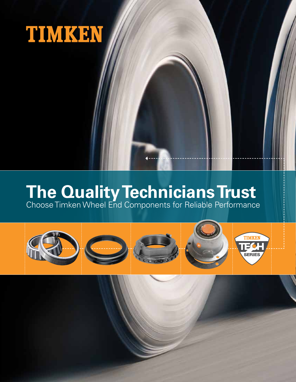

# **The Quality Technicians Trust**

Choose Timken Wheel End Components for Reliable Performance

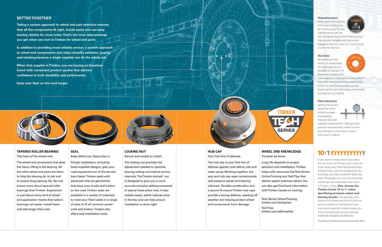## **HUB CAP** Your first line of defense.

The hub cap is your first line of defense against road debris, salt and water spray. Working together, the seal and hub cap repel contaminants and preserve wheel end bearing lubricant. Durable construction and a secure fit ensure Timken hub caps provide a strong defense, warding off weather and helping protect wheel end components from damage.

## **WHEEL END KNOWLEDGE**

It's what we know.

Long life depends on proper selection and installation. Timken helps with resources like Tech Series Online Training and Tech Tips that deliver expert technical advice. You

## **SEAL** Keep debris out. Keep lube in.

Simple installation, including hand-installed designs, gets your road equipment out of the service bays faster. Timken seals with advanced internal geometries help keep your trucks and trailers on the road. Timken seals are available in a variety of materials to meet your fleet needs in a range of sizes to fit all common power units and trailers. Timken also offers seal installation tools.



## **LOCKING NUT** Secure and simple to install.

The locking nut provides the adjustment needed to optimize bearing setting and extend service intervals. The Timken Axilock® nut is designed to give you a more accurate end-play setting compared to typical three-piece nuts. It also installs easily, which reduces time in the bay and can help ensure installation is done right.



**TAPERED ROLLER BEARING**

The heart of the wheel end.

The wheel end component that does the heavy lifting is the bearing. All the other wheel end parts are there to help the bearing do its job and to ensure long bearing life. No one knows more about tapered roller bearings than Timken. Experience in just about every kind of wheel end application means that today's bearings roll easier, install faster and last longer than ever.

#### **Hubodometers**

When you need to know if it's time to pull a unit for maintenance, Timken hubodometers tell the



If you want to know which truck parts you can trust, ask the guy who works on trucks every day. Fleet technicians know firsthand how well the components you buy today are likely to perform down the road. The people who turn the wrenches will tell you the brand they trust most is Timken. In fact, they choose the Timken brand 10 to 1\* when identifying premium wheel end **bearing brands.** The bearing is the heart of the wheel end, but it's just one part of a system of components that must work together in order to give you more time between service intervals and fewer roadside breakdowns.

tale. Designed and built for the long haul, they provide the accurate information needed to alert you that it is time to bring a unit in for service.

#### **Hot Dots**

Temperature is the enemy of wheel ends. Hot Dots give you an at-a-glance indication of overheated wheel ends.



can also get first-hand information with Timken hands-on training. Tech Series Online Training timken.com/techseries

Calibrated to change from white to black if the wheel end temperature exceeds 250° F (121° C), Hot Dots provide a simple, visual cue for your technicians and simplify pre-trips for your drivers.

#### **Dial Indicators**

Setting the correct clearance when installing wheel end bearings requires accurate



end-play measurement. Making those precise measurements makes Timken dial indicators a must-have in every technician's toolbox.

# 10:1 ???????????

## **BETTER TOGETHER**

**Taking a system approach to wheel end part selection ensures that all the components fit right, install easily and can keep turning reliably for more miles. That's the total value package you get when you turn to Timken for wheel end parts.**

**In addition to providing more reliable service, a system approach to wheel end components also helps simplify selection, buying and stocking because a single supplier can do the whole job.**

**When that supplier is Timken, you are buying an American brand with consistent product quality that delivers confidence in both durability and performance.**

**Keep your fleet on the road longer.**





Tech Tips timken.com/aftermarket





\*According to the McKay Brand Awareness Study (2014).